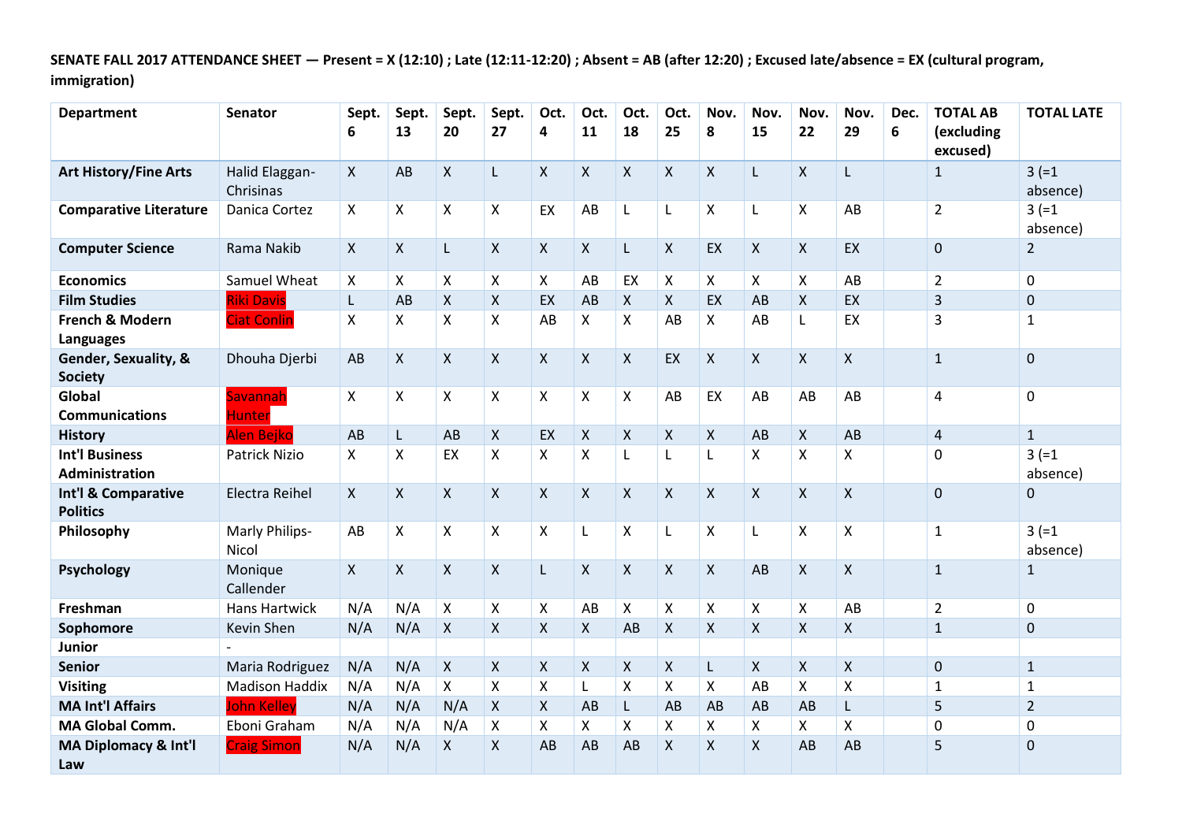**SENATE FALL 2017 ATTENDANCE SHEET — Present = X (12:10) ; Late (12:11-12:20) ; Absent = AB (after 12:20) ; Excused late/absence = EX (cultural program, immigration)**

| <b>Department</b>                              | <b>Senator</b>                 | Sept.<br>6   | Sept.<br>13               | Sept.<br>20               | Sept.<br>27  | Oct.<br>4    | Oct.<br>11                | Oct.<br>18         | Oct.<br>25         | Nov.<br>8          | Nov.<br>15   | Nov.<br>22         | Nov.<br>29         | Dec.<br>6 | <b>TOTAL AB</b><br>(excluding<br>excused) | <b>TOTAL LATE</b>    |
|------------------------------------------------|--------------------------------|--------------|---------------------------|---------------------------|--------------|--------------|---------------------------|--------------------|--------------------|--------------------|--------------|--------------------|--------------------|-----------|-------------------------------------------|----------------------|
| <b>Art History/Fine Arts</b>                   | Halid Elaggan-<br>Chrisinas    | X.           | AB                        | $\pmb{\times}$            | L.           | $\mathsf{X}$ | $\mathsf{X}$              | $\pmb{\mathsf{X}}$ | $\mathsf{X}$       | $\mathsf{X}$       | L            | $\pmb{\mathsf{X}}$ | L                  |           | $\mathbf{1}$                              | $3 (=1)$<br>absence) |
| <b>Comparative Literature</b>                  | Danica Cortez                  | X            | $\pmb{\times}$            | $\pmb{\times}$            | X            | EX           | AB                        | L                  | L                  | $\pmb{\times}$     | L            | $\pmb{\mathsf{X}}$ | AB                 |           | $\overline{2}$                            | $3 (=1)$<br>absence) |
| <b>Computer Science</b>                        | Rama Nakib                     | X            | $\mathsf{X}$              | L                         | $\mathsf{X}$ | $\mathsf{X}$ | $\mathsf{X}$              | L                  | $\mathsf{X}$       | EX                 | $\mathsf{X}$ | X                  | EX                 |           | $\mathbf 0$                               | $\overline{2}$       |
| <b>Economics</b>                               | Samuel Wheat                   | X            | $\mathsf{X}$              | $\boldsymbol{\mathsf{X}}$ | X            | $\mathsf{X}$ | AB                        | EX                 | X                  | X                  | X            | X                  | AB                 |           | $\overline{2}$                            | 0                    |
| <b>Film Studies</b>                            | <b>Riki Davis</b>              | L            | AB                        | $\boldsymbol{\mathsf{X}}$ | $\mathsf{X}$ | EX           | AB                        | X                  | $\mathsf{X}$       | EX                 | AB           | $\pmb{\mathsf{X}}$ | EX                 |           | 3                                         | $\pmb{0}$            |
| French & Modern<br><b>Languages</b>            | <b>Ciat Conlin</b>             | Χ            | $\pmb{\times}$            | $\boldsymbol{\mathsf{X}}$ | X            | AB           | $\pmb{\times}$            | X                  | AB                 | X                  | AB           | L                  | EX                 |           | 3                                         | $\mathbf{1}$         |
| Gender, Sexuality, &<br><b>Society</b>         | Dhouha Djerbi                  | AB           | $\mathsf{X}$              | $\mathsf{X}$              | $\mathsf{X}$ | X            | $\pmb{\times}$            | X                  | EX                 | $\mathsf{X}$       | X            | X                  | $\mathsf{X}$       |           | $\mathbf{1}$                              | $\mathbf 0$          |
| Global<br><b>Communications</b>                | Savannah<br><b>Hunter</b>      | X            | $\boldsymbol{\mathsf{X}}$ | X                         | X            | X            | $\boldsymbol{\mathsf{X}}$ | X                  | AB                 | EX                 | AB           | AB                 | AB                 |           | 4                                         | 0                    |
| <b>History</b>                                 | <b>Alen Bejko</b>              | AB           | $\mathsf{L}$              | AB                        | $\mathsf{X}$ | EX           | $\boldsymbol{\mathsf{X}}$ | X                  | X                  | $\pmb{\mathsf{X}}$ | AB           | $\mathsf{X}$       | AB                 |           | $\overline{4}$                            | $\mathbf{1}$         |
| <b>Int'l Business</b><br><b>Administration</b> | Patrick Nizio                  | X.           | $\boldsymbol{\mathsf{X}}$ | EX                        | X            | X            | $\pmb{\mathsf{X}}$        | L                  | L                  | L                  | X            | X                  | $\pmb{\mathsf{X}}$ |           | 0                                         | $3 (=1)$<br>absence) |
| Int'l & Comparative<br><b>Politics</b>         | <b>Electra Reihel</b>          | $\mathsf{X}$ | $\mathsf{X}$              | $\mathsf{X}$              | $\mathsf{X}$ | $\mathsf{X}$ | $\pmb{\times}$            | $\pmb{\mathsf{X}}$ | $\mathsf{X}$       | $\mathsf{X}$       | $\mathsf{X}$ | $\pmb{\mathsf{X}}$ | $\mathsf{X}$       |           | $\pmb{0}$                                 | $\pmb{0}$            |
| Philosophy                                     | <b>Marly Philips-</b><br>Nicol | AB           | $\mathsf{X}$              | $\pmb{\times}$            | X            | $\mathsf{X}$ | $\mathsf L$               | Χ                  | L                  | $\pmb{\times}$     | L            | $\pmb{\mathsf{X}}$ | $\pmb{\mathsf{X}}$ |           | $\mathbf{1}$                              | $3 (=1)$<br>absence) |
| Psychology                                     | Monique<br>Callender           | X            | $\mathsf{X}$              | $\boldsymbol{\mathsf{X}}$ | $\mathsf{X}$ | L            | $\boldsymbol{\mathsf{X}}$ | $\pmb{\mathsf{X}}$ | $\mathsf{X}$       | $\mathsf{X}$       | AB           | $\pmb{\mathsf{X}}$ | $\mathsf{X}$       |           | $\mathbf{1}$                              | $\mathbf{1}$         |
| Freshman                                       | <b>Hans Hartwick</b>           | N/A          | N/A                       | $\boldsymbol{\mathsf{X}}$ | X            | X            | AB                        | X                  | X                  | X                  | X            | X                  | AB                 |           | $\overline{2}$                            | 0                    |
| Sophomore                                      | Kevin Shen                     | N/A          | N/A                       | $\mathsf{X}$              | $\mathsf{X}$ | $\mathsf{X}$ | X                         | AB                 | $\mathsf{X}$       | $\mathsf{X}$       | X            | $\mathsf{X}$       | X                  |           | $\mathbf{1}$                              | $\mathbf 0$          |
| Junior                                         |                                |              |                           |                           |              |              |                           |                    |                    |                    |              |                    |                    |           |                                           |                      |
| <b>Senior</b>                                  | Maria Rodriguez                | N/A          | N/A                       | $\mathsf{X}$              | $\mathsf{X}$ | $\mathsf{X}$ | $\boldsymbol{\mathsf{X}}$ | $\pmb{\mathsf{X}}$ | $\mathsf{X}$       | L                  | $\mathsf{X}$ | $\mathsf{x}$       | $\mathsf{x}$       |           | $\pmb{0}$                                 | $\mathbf{1}$         |
| <b>Visiting</b>                                | <b>Madison Haddix</b>          | N/A          | N/A                       | $\pmb{\times}$            | $\mathsf{X}$ | X            | L                         | Χ                  | $\pmb{\mathsf{X}}$ | X                  | AB           | $\pmb{\mathsf{X}}$ | $\mathsf{\chi}$    |           | $\mathbf{1}$                              | $\mathbf{1}$         |
| <b>MA Int'l Affairs</b>                        | <b>John Kelley</b>             | N/A          | N/A                       | N/A                       | X            | X            | AB                        | L.                 | AB                 | AB                 | AB           | AB                 | L                  |           | 5                                         | $\overline{2}$       |
| <b>MA Global Comm.</b>                         | Eboni Graham                   | N/A          | N/A                       | N/A                       | X            | X            | $\pmb{\mathsf{X}}$        | Χ                  | Χ                  | X                  | Χ            | X                  | Χ                  |           | 0                                         | 0                    |
| MA Diplomacy & Int'l<br>Law                    | <b>Craig Simon</b>             | N/A          | N/A                       | $\pmb{\mathsf{X}}$        | X            | AB           | AB                        | AB                 | X                  | $\pmb{\mathsf{X}}$ | $\mathsf{X}$ | AB                 | AB                 |           | 5                                         | $\pmb{0}$            |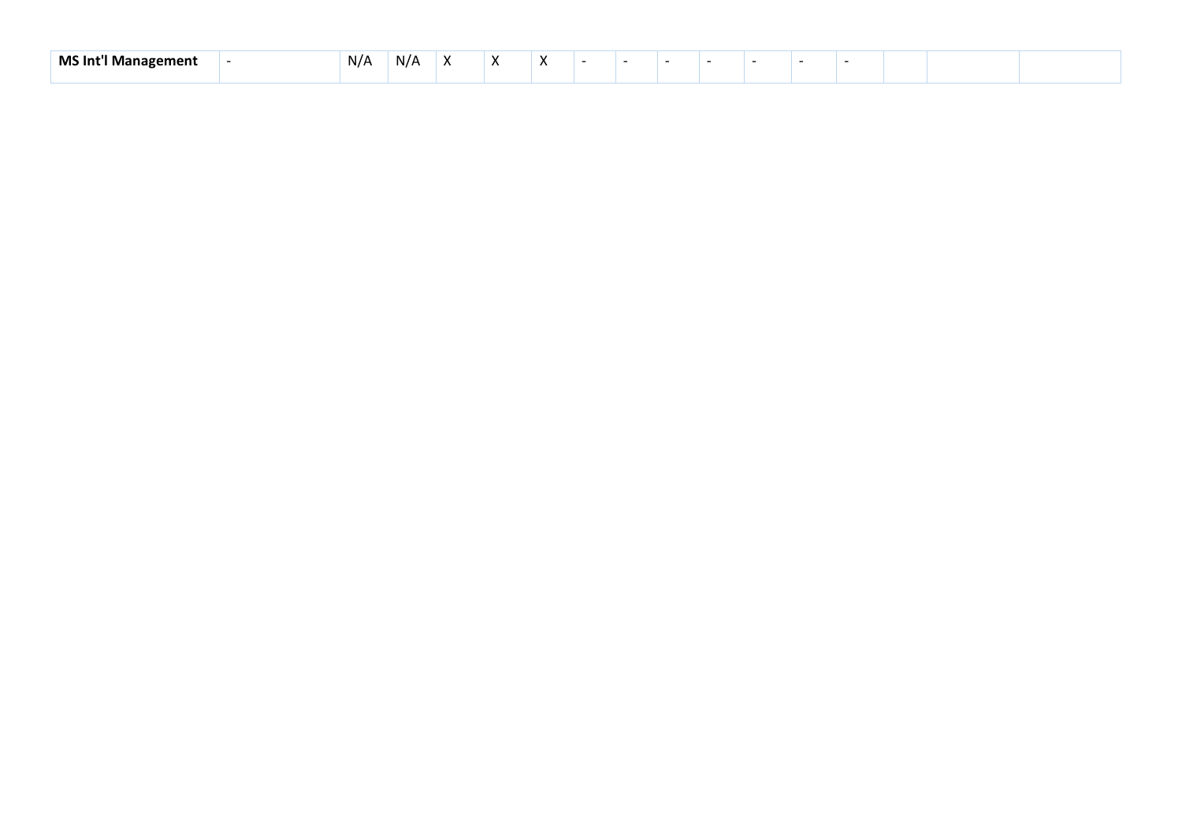| MS Inเ<br>ement<br>uan<br>ша | N/A | N/A |  |  |  |  |  |  |  |
|------------------------------|-----|-----|--|--|--|--|--|--|--|
|                              |     |     |  |  |  |  |  |  |  |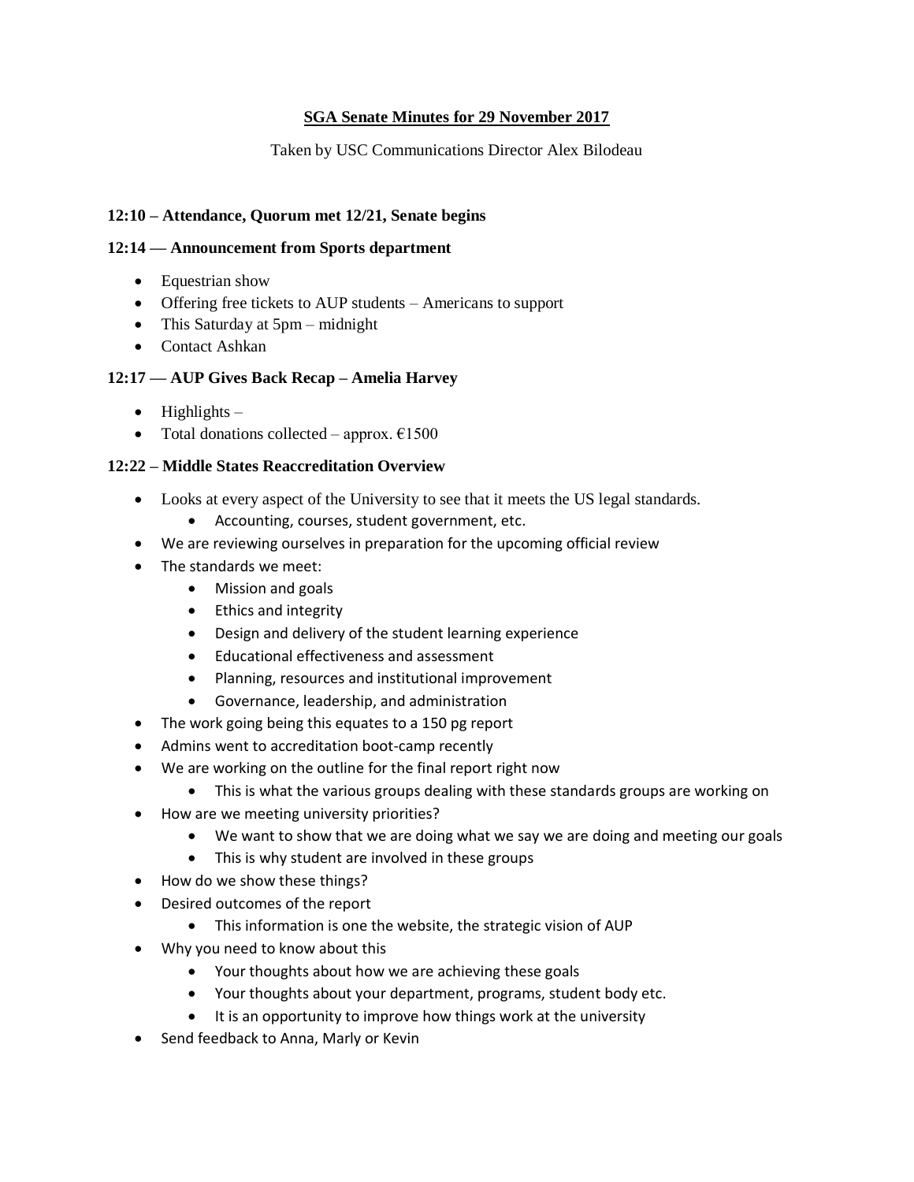# **SGA Senate Minutes for 29 November 2017**

Taken by USC Communications Director Alex Bilodeau

## **12:10 – Attendance, Quorum met 12/21, Senate begins**

#### **12:14 — Announcement from Sports department**

- Equestrian show
- Offering free tickets to AUP students Americans to support
- This Saturday at 5pm midnight
- Contact Ashkan

#### **12:17 — AUP Gives Back Recap – Amelia Harvey**

- $\bullet$  Highlights –
- Total donations collected approx.  $£1500$

#### **12:22 – Middle States Reaccreditation Overview**

- Looks at every aspect of the University to see that it meets the US legal standards.
	- Accounting, courses, student government, etc.
- We are reviewing ourselves in preparation for the upcoming official review
- The standards we meet:
	- Mission and goals
	- Ethics and integrity
	- Design and delivery of the student learning experience
	- Educational effectiveness and assessment
	- Planning, resources and institutional improvement
	- Governance, leadership, and administration
- The work going being this equates to a 150 pg report
- Admins went to accreditation boot-camp recently
- We are working on the outline for the final report right now
	- This is what the various groups dealing with these standards groups are working on
- How are we meeting university priorities?
	- We want to show that we are doing what we say we are doing and meeting our goals
	- This is why student are involved in these groups
- How do we show these things?
- Desired outcomes of the report
	- This information is one the website, the strategic vision of AUP
- Why you need to know about this
	- Your thoughts about how we are achieving these goals
	- Your thoughts about your department, programs, student body etc.
	- It is an opportunity to improve how things work at the university
- Send feedback to Anna, Marly or Kevin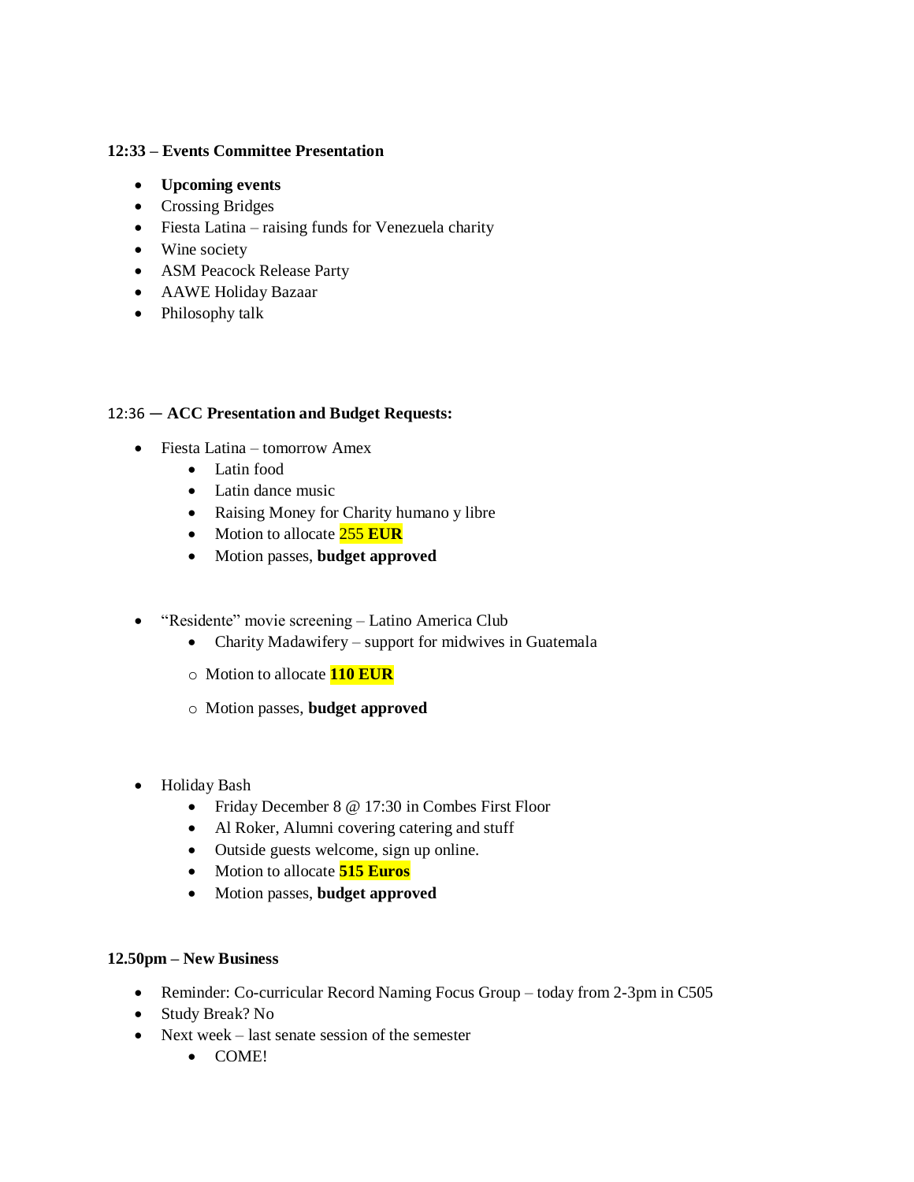## **12:33 – Events Committee Presentation**

- **Upcoming events**
- Crossing Bridges
- Fiesta Latina raising funds for Venezuela charity
- Wine society
- ASM Peacock Release Party
- AAWE Holiday Bazaar
- Philosophy talk

# 12:36 — **ACC Presentation and Budget Requests:**

- Fiesta Latina tomorrow Amex
	- Latin food
	- Latin dance music
	- Raising Money for Charity humano y libre
	- Motion to allocate **255 EUR**
	- Motion passes, **budget approved**
- "Residente" movie screening Latino America Club
	- Charity Madawifery support for midwives in Guatemala
	- o Motion to allocate **110 EUR**
	- o Motion passes, **budget approved**
- Holiday Bash
	- Friday December 8 @ 17:30 in Combes First Floor
	- Al Roker, Alumni covering catering and stuff
	- Outside guests welcome, sign up online.
	- Motion to allocate **515 Euros**
	- Motion passes, **budget approved**

#### **12.50pm – New Business**

- Reminder: Co-curricular Record Naming Focus Group today from 2-3pm in C505
- Study Break? No
- Next week last senate session of the semester
	- COME!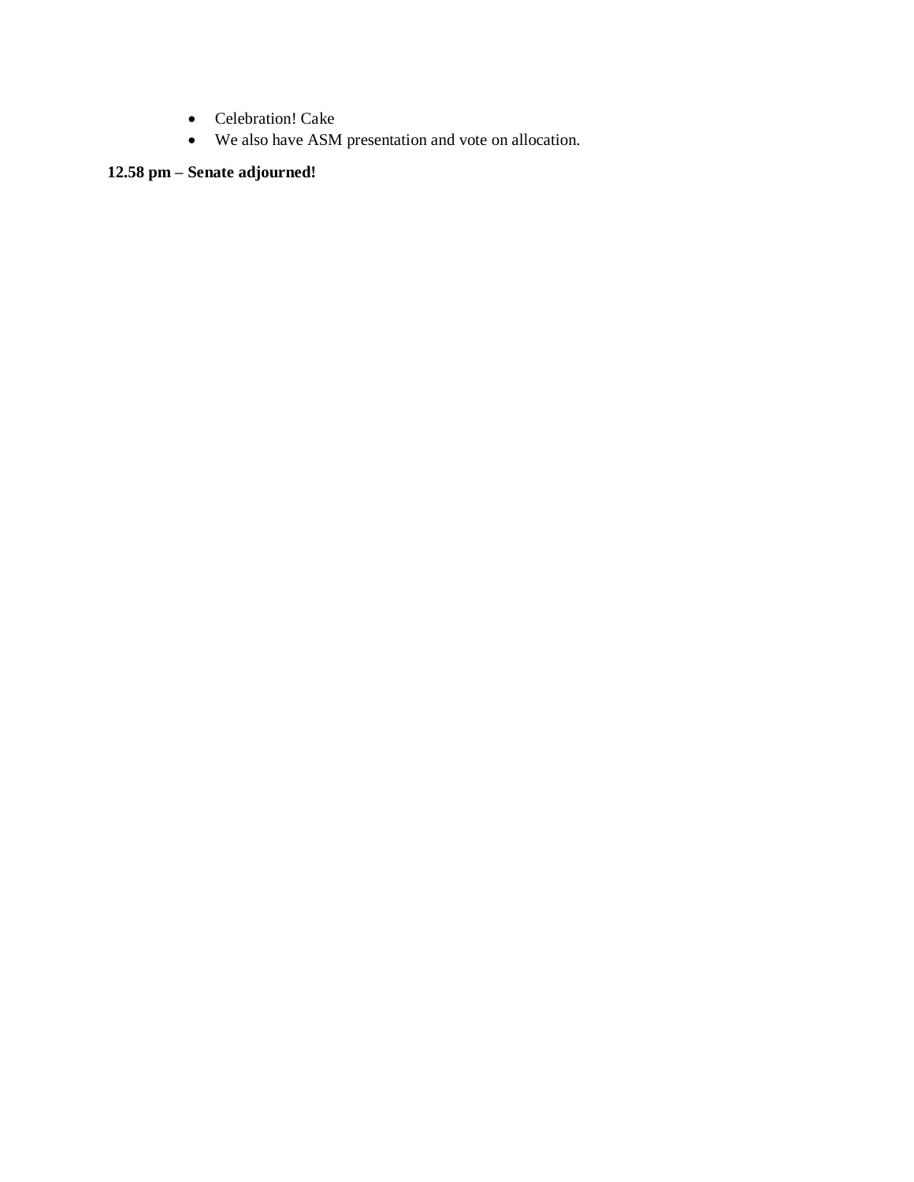- Celebration! Cake
- We also have ASM presentation and vote on allocation.

# **12.58 pm – Senate adjourned!**